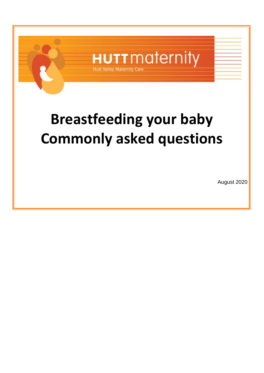

# **Breastfeeding your baby Commonly asked questions**

August 2020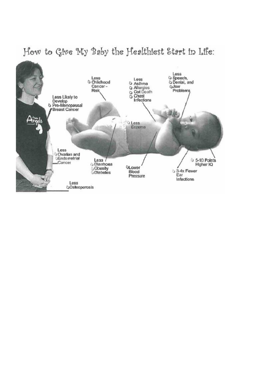

# How to Give My Baby the Healthiest Start in Life: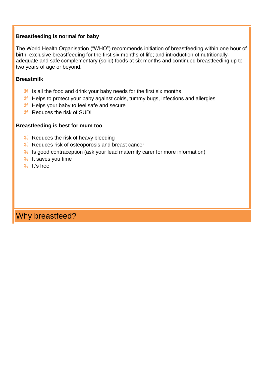#### **Breastfeeding is normal for baby**

The World Health Organisation ("WHO") recommends initiation of breastfeeding within one hour of birth; exclusive breastfeeding for the first six months of life; and introduction of nutritionallyadequate and safe complementary (solid) foods at six months and continued breastfeeding up to two years of age or beyond.

#### **Breastmilk**

- $\frac{12}{15}$  Is all the food and drink your baby needs for the first six months
- **Helps to protect your baby against colds, tummy bugs, infections and allergies**
- $\frac{H}{v}$  Helps your baby to feel safe and secure
- 88 Reduces the risk of SUDI

#### **Breastfeeding is best for mum too**

- $\frac{R}{2}$  Reduces the risk of heavy bleeding
- 88 Reduces risk of osteoporosis and breast cancer
- $\frac{12}{15}$  Is good contraception (ask your lead maternity carer for more information)
- <sup>36</sup> It saves you time
- ิ ม<sub>ี</sub> it's free

Why breastfeed?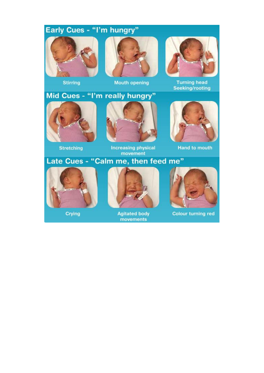# Early Cues - "I'm hungry"





**Mouth opening** 

# Mid Cues - "I'm really hungry"



**Stretching** 



**Increasing physical** movement



**Turning head** Seeking/rooting



**Hand to mouth** 

## Late Cues - "Calm me, then feed me"



Crying



**Agitated body** movements



**Colour turning red**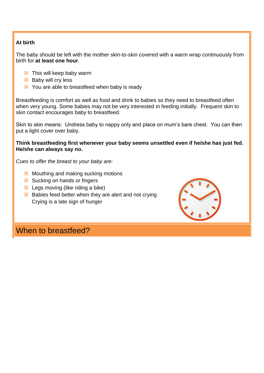#### **At birth**

The baby should be left with the mother skin-to-skin covered with a warm wrap continuously from birth for **at least one hour**.

- $\frac{1}{26}$  This will keep baby warm
- $\mathcal{H}$  Baby will cry less
- <sup>8</sup> You are able to breastfeed when baby is ready

Breastfeeding is comfort as well as food and drink to babies so they need to breastfeed often when very young. Some babies may not be very interested in feeding initially. Frequent skin to skin contact encourages baby to breastfeed.

Skin to skin means: Undress baby to nappy only and place on mum's bare chest. You can then put a light cover over baby.

**Think breastfeeding first whenever your baby seems unsettled even if he/she has just fed. He/she can always say no.**

*Cues to offer the breast to your baby are:*

- **H** Mouthing and making sucking motions
- **R** Sucking on hands or fingers
- **H** Legs moving (like riding a bike)
- $\frac{12}{10}$  Babies feed better when they are alert and not crying Crying is a late sign of hunger



### When to breastfeed?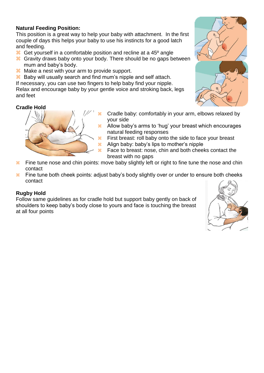#### **Natural Feeding Position:**

This position is a great way to help your baby with attachment. In the first couple of days this helps your baby to use his instincts for a good latch and feeding.

- <sup>36</sup> Get yourself in a comfortable position and recline at a 45<sup>°</sup> angle
- Gravity draws baby onto your body. There should be no gaps between mum and baby's body.
- <sup>8</sup> Make a nest with your arm to provide support.
- **Baby will usually search and find mum's nipple and self attach.**
- If necessary, you can use two fingers to help baby find your nipple.

Relax and encourage baby by your gentle voice and stroking back, legs and feet

#### **Cradle Hold**



- Cradle baby: comfortably in your arm, elbows relaxed by your side
- <sup>38</sup> Allow baby's arms to 'hug' your breast which encourages natural feeding responses
- $\frac{12}{10}$  First breast: roll baby onto the side to face your breast
- $\frac{12}{100}$  Align baby: baby's lips to mother's nipple
- $\frac{12}{10}$  Face to breast: nose, chin and both cheeks contact the breast with no gaps
- $\frac{12}{10}$  Fine tune nose and chin points: move baby slightly left or right to fine tune the nose and chin contact
- $\frac{12}{10}$  Fine tune both cheek points: adjust baby's body slightly over or under to ensure both cheeks contact

#### **Rugby Hold**

Follow same guidelines as for cradle hold but support baby gently on back of shoulders to keep baby's body close to yours and face is touching the breast at all four points



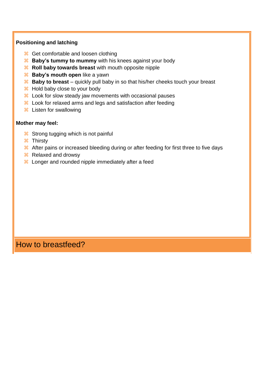#### **Positioning and latching**

- $\frac{1}{26}$  Get comfortable and loosen clothing
- **Baby's tummy to mummy** with his knees against your body
- **R** Roll baby towards breast with mouth opposite nipple
- **Baby's mouth open** like a yawn
- **Baby to breast** quickly pull baby in so that his/her cheeks touch your breast
- $\frac{1}{26}$  Hold baby close to your body
- $\frac{12}{100}$  Look for slow steady jaw movements with occasional pauses
- **H** Look for relaxed arms and legs and satisfaction after feeding
- Listen for swallowing

#### **Mother may feel:**

- <sup>36</sup> Strong tugging which is not painful
- **米 Thirsty**
- **After pains or increased bleeding during or after feeding for first three to five days**
- **Relaxed and drowsy**
- **H** Longer and rounded nipple immediately after a feed

### How to breastfeed?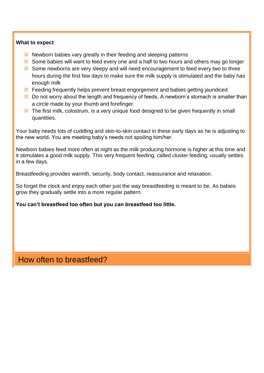#### **What to expect**

- Newborn babies vary greatly in their feeding and sleeping patterns
- <sup>36</sup> Some babies will want to feed every one and a half to two hours and others may go longer
- <sup>36</sup> Some newborns are very sleepy and will need encouragement to feed every two to three hours during the first few days to make sure the milk supply is stimulated and the baby has enough milk
- **X** Feeding frequently helps prevent breast engorgement and babies getting jaundiced
- $\frac{12}{10}$  Do not worry about the length and frequency of feeds. A newborn's stomach is smaller than a circle made by your thumb and forefinger.
- <sup>36</sup> The first milk, colostrum, is a very unique food designed to be given frequently in small quantities.

Your baby needs lots of cuddling and skin-to-skin contact in these early days as he is adjusting to the new world. You are meeting baby's needs not spoiling him/her.

Newborn babies feed more often at night as the milk producing hormone is higher at this time and it stimulates a good milk supply. This very frequent feeding, called cluster feeding, usually settles in a few days.

Breastfeeding provides warmth, security, body contact, reassurance and relaxation.

So forget the clock and enjoy each other just the way breastfeeding is meant to be. As babies grow they gradually settle into a more regular pattern.

#### **You can't breastfeed too often but you can breastfeed too little.**

### How often to breastfeed?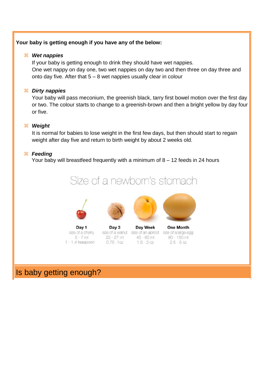#### **Your baby is getting enough if you have any of the below:**

#### *Wet nappies*

If your baby is getting enough to drink they should have wet nappies. One wet nappy on day one, two wet nappies on day two and then three on day three and onto day five. After that  $5 - 8$  wet nappies usually clear in colour

#### *Dirty nappies*

Your baby will pass meconium, the greenish black, tarry first bowel motion over the first day or two. The colour starts to change to a greenish-brown and then a bright yellow by day four or five.

#### *Weight*

It is normal for babies to lose weight in the first few days, but then should start to regain weight after day five and return to birth weight by about 2 weeks old.

#### *Feeding*

Your baby will breastfeed frequently with a minimum of 8 – 12 feeds in 24 hours









Day 1 size of a cherry  $5 - 7$  ml  $1 - 1.4$  teaspoon

Day 3 size of a walnut size of an apricot size of a large egg 22 - 27 ml  $0.75 - 10z$ 

Day Week 45 - 60 ml  $1.5 - 20z$ 

**One Month** 80 - 150 ml  $2.5 - 5$  oz

Is baby getting enough?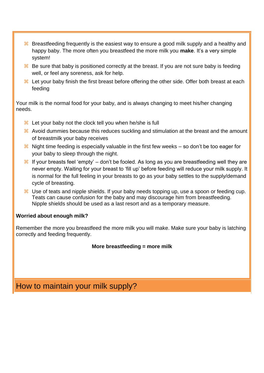- <sup>8</sup> Breastfeeding frequently is the easiest way to ensure a good milk supply and a healthy and happy baby. The more often you breastfeed the more milk you **make**. It's a very simple system!
- $\frac{12}{10}$  Be sure that baby is positioned correctly at the breast. If you are not sure baby is feeding well, or feel any soreness, ask for help.
- $\frac{12}{10}$  Let your baby finish the first breast before offering the other side. Offer both breast at each feeding

Your milk is the normal food for your baby, and is always changing to meet his/her changing needs.

- $\frac{12}{10}$  Let your baby not the clock tell you when he/she is full
- Avoid dummies because this reduces suckling and stimulation at the breast and the amount of breastmilk your baby receives
- $\frac{12}{10}$  Night time feeding is especially valuable in the first few weeks so don't be too eager for your baby to sleep through the night.
- $\frac{12}{10}$  If your breasts feel 'empty' don't be fooled. As long as you are breastfeeding well they are never empty. Waiting for your breast to 'fill up' before feeding will reduce your milk supply. It is normal for the full feeling in your breasts to go as your baby settles to the supply/demand cycle of breasting.
- $\frac{12}{10}$  Use of teats and nipple shields. If your baby needs topping up, use a spoon or feeding cup. Teats can cause confusion for the baby and may discourage him from breastfeeding. Nipple shields should be used as a last resort and as a temporary measure.

#### **Worried about enough milk?**

Remember the more you breastfeed the more milk you will make. Make sure your baby is latching correctly and feeding frequently.

#### **More breastfeeding = more milk**

How to maintain your milk supply?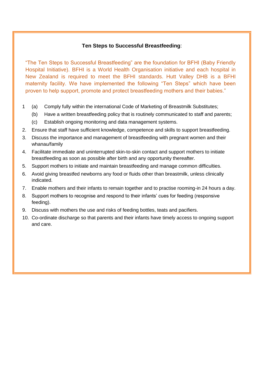#### **Ten Steps to Successful Breastfeeding**:

"The Ten Steps to Successful Breastfeeding" are the foundation for BFHI (Baby Friendly Hospital Initiative). BFHI is a World Health Organisation initiative and each hospital in New Zealand is required to meet the BFHI standards. Hutt Valley DHB is a BFHI maternity facility. We have implemented the following "Ten Steps" which have been proven to help support, promote and protect breastfeeding mothers and their babies."

- 1 (a) Comply fully within the international Code of Marketing of Breastmilk Substitutes;
	- (b) Have a written breastfeeding policy that is routinely communicated to staff and parents;
	- (c) Establish ongoing monitoring and data management systems.
- 2. Ensure that staff have sufficient knowledge, competence and skills to support breastfeeding.
- 3. Discuss the importance and management of breastfeeding with pregnant women and their whanau/family
- 4. Facilitate immediate and uninterrupted skin-to-skin contact and support mothers to initiate breastfeeding as soon as possible after birth and any opportunity thereafter.
- 5. Support mothers to initiate and maintain breastfeeding and manage common difficulties.
- 6. Avoid giving breastfed newborns any food or fluids other than breastmilk, unless clinically indicated.
- 7. Enable mothers and their infants to remain together and to practise rooming-in 24 hours a day.
- 8. Support mothers to recognise and respond to their infants' cues for feeding (responsive feeding).
- 9. Discuss with mothers the use and risks of feeding bottles, teats and pacifiers.
- 10. Co-ordinate discharge so that parents and their infants have timely access to ongoing support and care.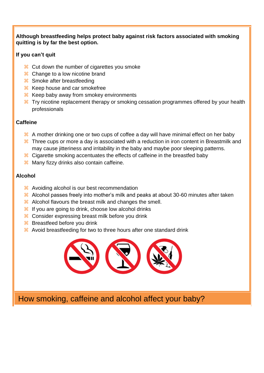#### **Although breastfeeding helps protect baby against risk factors associated with smoking quitting is by far the best option.**

#### **If you can't quit**

- <sup>8</sup> Cut down the number of cigarettes you smoke
- **H** Change to a low nicotine brand
- Smoke after breastfeeding
- $\frac{12}{10}$  Keep house and car smokefree
- $\frac{12}{10}$  Keep baby away from smokey environments
- <sup>36</sup> Try nicotine replacement therapy or smoking cessation programmes offered by your health professionals

#### **Caffeine**

- $\frac{48}{10}$  A mother drinking one or two cups of coffee a day will have minimal effect on her baby
- <sup>36</sup> Three cups or more a day is associated with a reduction in iron content in Breastmilk and may cause jitteriness and irritability in the baby and maybe poor sleeping patterns.
- <sup>8</sup> Cigarette smoking accentuates the effects of caffeine in the breastfed baby
- $\frac{1}{26}$  Many fizzy drinks also contain caffeine.

#### **Alcohol**

- <sup>8</sup> Avoiding alcohol is our best recommendation
- Alcohol passes freely into mother's milk and peaks at about 30-60 minutes after taken
- $\frac{12}{10}$  Alcohol flavours the breast milk and changes the smell.
- $\frac{12}{16}$  If you are going to drink, choose low alcohol drinks
- <sup>38</sup> Consider expressing breast milk before you drink
- **Breastfeed before you drink**
- Avoid breastfeeding for two to three hours after one standard drink



How smoking, caffeine and alcohol affect your baby?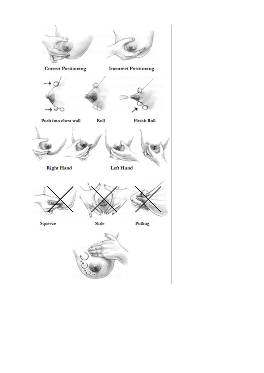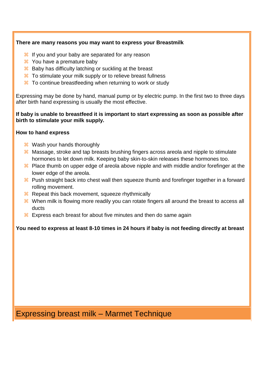#### **There are many reasons you may want to express your Breastmilk**

- $\frac{12}{16}$  If you and your baby are separated for any reason
- You have a premature baby
- $\frac{12}{10}$  Baby has difficulty latching or suckling at the breast
- $\frac{12}{10}$  To stimulate your milk supply or to relieve breast fullness
- <sup>38</sup> To continue breastfeeding when returning to work or study

Expressing may be done by hand, manual pump or by electric pump. In the first two to three days after birth hand expressing is usually the most effective.

#### **If baby is unable to breastfeed it is important to start expressing as soon as possible after birth to stimulate your milk supply.**

#### **How to hand express**

- **H** Wash your hands thoroughly
- <sup>8</sup> Massage, stroke and tap breasts brushing fingers across areola and nipple to stimulate hormones to let down milk. Keeping baby skin-to-skin releases these hormones too.
- <sup>8</sup> Place thumb on upper edge of areola above nipple and with middle and/or forefinger at the lower edge of the areola.
- <sup>8</sup> Push straight back into chest wall then squeeze thumb and forefinger together in a forward rolling movement.
- **R** Repeat this back movement, squeeze rhythmically
- $\frac{12}{10}$  When milk is flowing more readily you can rotate fingers all around the breast to access all ducts
- $\frac{12}{10}$  Express each breast for about five minutes and then do same again

#### **You need to express at least 8-10 times in 24 hours if baby is not feeding directly at breast**

Expressing breast milk – Marmet Technique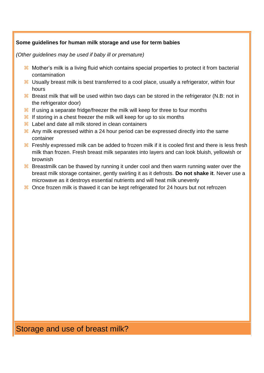#### **Some guidelines for human milk storage and use for term babies**

*(Other guidelines may be used if baby ill or premature)* 

- $\frac{12}{10}$  Mother's milk is a living fluid which contains special properties to protect it from bacterial contamination
- $\frac{12}{10}$  Usually breast milk is best transferred to a cool place, usually a refrigerator, within four hours
- $\frac{12}{10}$  Breast milk that will be used within two days can be stored in the refrigerator (N.B: not in the refrigerator door)
- $\frac{12}{10}$  If using a separate fridge/freezer the milk will keep for three to four months
- $\frac{12}{10}$  If storing in a chest freezer the milk will keep for up to six months
- <sup>86</sup> Label and date all milk stored in clean containers
- $\frac{12}{10}$  Any milk expressed within a 24 hour period can be expressed directly into the same container
- $\frac{12}{10}$  Freshly expressed milk can be added to frozen milk if it is cooled first and there is less fresh milk than frozen. Fresh breast milk separates into layers and can look bluish, yellowish or brownish
- $\frac{12}{10}$  Breastmilk can be thawed by running it under cool and then warm running water over the breast milk storage container, gently swirling it as it defrosts. **Do not shake it**. Never use a microwave as it destroys essential nutrients and will heat milk unevenly
- $\frac{12}{10}$  Once frozen milk is thawed it can be kept refrigerated for 24 hours but not refrozen

# Storage and use of breast milk?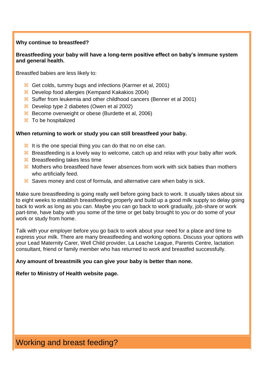#### **Why continue to breastfeed?**

#### **Breastfeeding your baby will have a long-term positive effect on baby's immune system and general health.**

Breastfed babies are less likely to:

- 8 Get colds, tummy bugs and infections (Karmer et al, 2001)
- $\frac{12}{100}$  Develop food allergies (Kempand Kakakios 2004)
- Suffer from leukemia and other childhood cancers (Benner et al 2001)
- Develop type 2 diabetes (Owen et al 2002)
- 8 Become overweight or obese (Burdette et al, 2006)
- To be hospitalized

#### **When returning to work or study you can still breastfeed your baby.**

- $\frac{12}{11}$  It is the one special thing you can do that no on else can.
- $\frac{12}{10}$  Breastfeeding is a lovely way to welcome, catch up and relax with your baby after work.
- **Breastfeeding takes less time**
- Mothers who breastfeed have fewer absences from work with sick babies than mothers who artificially feed.
- $\frac{12}{10}$  Saves money and cost of formula, and alternative care when baby is sick.

Make sure breastfeeding is going really well before going back to work. It usually takes about six to eight weeks to establish breastfeeding properly and build up a good milk supply so delay going back to work as long as you can. Maybe you can go back to work gradually, job-share or work part-time, have baby with you some of the time or get baby brought to you or do some of your work or study from home.

Talk with your employer before you go back to work about your need for a place and time to express your milk. There are many breastfeeding and working options. Discuss your options with your Lead Maternity Carer, Well Child provider, La Leache League, Parents Centre, lactation consultant, friend or family member who has returned to work and breastfed successfully.

#### **Any amount of breastmilk you can give your baby is better than none.**

#### **Refer to Ministry of Health website page.**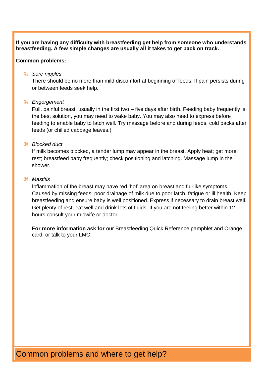**If you are having any difficulty with breastfeeding get help from someone who understands breastfeeding. A few simple changes are usually all it takes to get back on track.**

#### **Common problems:**

#### *Sore nipples*

There should be no more than mild discomfort at beginning of feeds. If pain persists during or between feeds seek help.

#### *Engorgement*

Full, painful breast, usually in the first two – five days after birth. Feeding baby frequently is the best solution, you may need to wake baby. You may also need to express before feeding to enable baby to latch well. Try massage before and during feeds, cold packs after feeds (or chilled cabbage leaves.)

#### *Blocked duct*

If milk becomes blocked, a tender lump may appear in the breast. Apply heat; get more rest; breastfeed baby frequently; check positioning and latching. Massage lump in the shower.

#### *Mastitis*

Inflammation of the breast may have red 'hot' area on breast and flu-like symptoms. Caused by missing feeds, poor drainage of milk due to poor latch, fatigue or ill health. Keep breastfeeding and ensure baby is well positioned. Express if necessary to drain breast well. Get plenty of rest, eat well and drink lots of fluids. If you are not feeling better within 12 hours consult your midwife or doctor.

**For more information ask for** our Breastfeeding Quick Reference pamphlet and Orange card, or talk to your LMC.

# Common problems and where to get help?